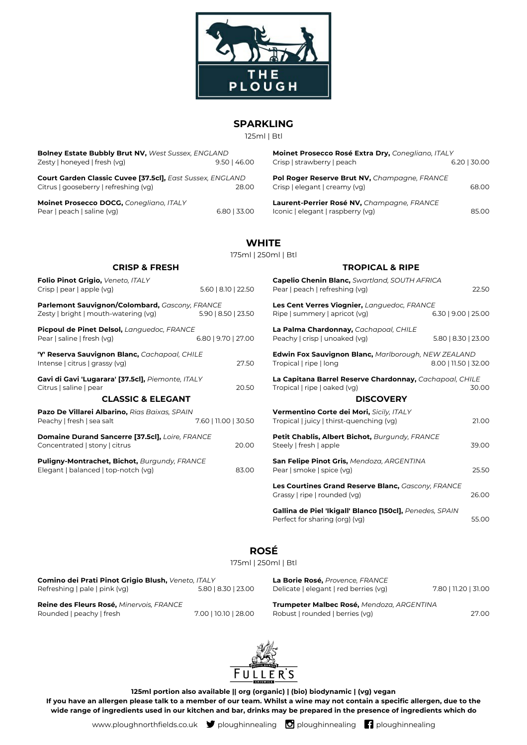

### **SPARKLING**

125ml | Btl

| Bolney Estate Bubbly Brut NV, West Sussex, ENGLAND               |                | Moinet Prosecco Rosé Extra Dry, Conegliano, ITALY |              |
|------------------------------------------------------------------|----------------|---------------------------------------------------|--------------|
| Zesty   honeyed   fresh (vg)                                     | $9.50$   46.00 | Crisp   strawberry   peach                        | 6.20   30.00 |
| <b>Court Garden Classic Cuvee [37.5cl], East Sussex, ENGLAND</b> |                | Pol Roger Reserve Brut NV, Champagne, FRANCE      |              |
| Citrus   gooseberry   refreshing (vg)                            | 28.00          | Crisp   elegant   creamy (vg)                     | 68.00        |
| Moinet Prosecco DOCG, Conegliano, ITALY                          |                | Laurent-Perrier Rosé NV, Champagne, FRANCE        |              |
| Pear   peach   saline (vg)                                       | $6.80$   33.00 | Iconic   elegant   raspberry (vg)                 | 85.00        |
|                                                                  |                |                                                   |              |

# **WHITE**

|                                                                                        |                      | 175ml   250ml   Btl |                             |
|----------------------------------------------------------------------------------------|----------------------|---------------------|-----------------------------|
| <b>CRISP &amp; FRESH</b>                                                               |                      |                     |                             |
| Folio Pinot Grigio, Veneto, ITALY<br>Crisp   pear   apple (vg)                         | 5.60   8.10   22.50  |                     | <b>Capelic</b><br>Pear   p  |
| Parlemont Sauvignon/Colombard, Gascony, FRANCE<br>Zesty   bright   mouth-watering (vg) | 5.90   8.50   23.50  |                     | <b>Les Cer</b><br>Ripe   st |
| Picpoul de Pinet Delsol, Languedoc, FRANCE<br>Pear   saline   fresh (vg)               | 6.80   9.70   27.00  |                     | La Paln<br>Peachy           |
| 'Y' Reserva Sauvignon Blanc, Cachapoal, CHILE<br>Intense   citrus   grassy (vg)        |                      | 27.50               | Edwin  <br>Tropica          |
| Gavi di Gavi 'Lugarara' [37.5cl], Piemonte, ITALY<br>Citrus   saline   pear            |                      | 20.50               | La Capi<br>Tropica          |
| <b>CLASSIC &amp; ELEGANT</b>                                                           |                      |                     |                             |
| Pazo De Villarei Albarino, Rias Baixas, SPAIN<br>Peachy   fresh   sea salt             | 7.60   11.00   30.50 |                     | Vermei<br>Tropica           |
| Domaine Durand Sancerre [37.5cl], Loire, FRANCE<br>Concentrated   stony   citrus       |                      | 20.00               | <b>Petit Cl</b><br>Steely   |
| Puligny-Montrachet, Bichot, Burgundy, FRANCE<br>Elegant   balanced   top-notch (vg)    |                      | 83.00               | <b>San Fel</b><br>Pear   si |
|                                                                                        |                      |                     | Les Cou                     |

#### **TROPICAL & RIPE**

| <b>Capelio Chenin Blanc, Swartland, SOUTH AFRICA</b><br>Pear   peach   refreshing (vg)                      |                      | 22.50 |
|-------------------------------------------------------------------------------------------------------------|----------------------|-------|
| Les Cent Verres Viognier, Languedoc, FRANCE<br>Ripe   summery   apricot (vg)                                | 6.30   9.00   25.00  |       |
| La Palma Chardonnay, Cachapoal, CHILE<br>Peachy   crisp   unoaked (vg)                                      | 5.80   8.30   23.00  |       |
| <b>Edwin Fox Sauvignon Blanc, Marlborough, NEW ZEALAND</b><br>Tropical   ripe   long                        | 8.00   11.50   32.00 |       |
| La Capitana Barrel Reserve Chardonnay, Cachapoal, CHILE<br>Tropical   ripe   oaked (vg)<br><b>DISCOVERY</b> |                      | 30.00 |
|                                                                                                             |                      |       |
| Vermentino Corte dei Mori, Sicily, ITALY<br>Tropical   juicy   thirst-quenching (vg)                        |                      | 21.00 |
| Petit Chablis, Albert Bichot, Burgundy, FRANCE<br>Steely   fresh   apple                                    |                      | 39.00 |
| San Felipe Pinot Gris, Mendoza, ARGENTINA<br>Pear   smoke   spice (vg)                                      |                      | 25.50 |
| Les Courtines Grand Reserve Blanc, Gascony, FRANCE<br>Grassy   ripe   rounded (vg)                          |                      | 26.00 |
| Gallina de Piel 'Ikigall' Blanco [150cl], Penedes, SPAIN<br>Perfect for sharing (org) (vg)                  |                      | 55.00 |

## **ROSÉ**

175ml | 250ml | Btl

| Comino dei Prati Pinot Grigio Blush, Veneto, ITALY |                      | La Borie Rosé, Provence, FRANCE           |                      |
|----------------------------------------------------|----------------------|-------------------------------------------|----------------------|
| Refreshing   pale   pink (vg)                      | 5.80   8.30   23.00  | Delicate   elegant   red berries (vg)     | 7.80   11.20   31.00 |
| Reine des Fleurs Rosé, Minervois, FRANCE           |                      | Trumpeter Malbec Rosé, Mendoza, ARGENTINA |                      |
| Rounded   peachy   fresh                           | 7.00   10.10   28.00 | Robust   rounded   berries (vg)           | 27.00                |



**125ml portion also available || org (organic) | (bio) biodynamic | (vg) vegan If you have an allergen please talk to a member of our team. Whilst a wine may not contain a specific allergen, due to the wide range of ingredients used in our kitchen and bar, drinks may be prepared in the presence of ingredients which do**